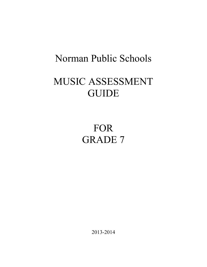## Norman Public Schools

# MUSIC ASSESSMENT GUIDE

# FOR GRADE 7

2013-2014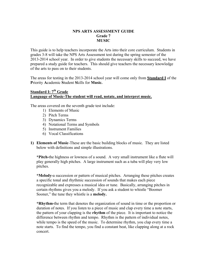### **NPS ARTS ASSESSMENT GUIDE Grade 7 MUSIC**

This guide is to help teachers incorporate the Arts into their core curriculum. Students in grades 3-8 will take the NPS Arts Assessment test during the spring semester of the 2013-2014 school year. In order to give students the necessary skills to succeed, we have prepared a study guide for teachers. This should give teachers the necessary knowledge of the arts to pass on to their students.

The areas for testing in the 2013-2014 school year will come only from **Standard I** of the **P**riority **A**cademic **S**tudent **S**kills for **Music.**

## **Standard I: 7<sup>th</sup> Grade Language of Music-The student will read, notate, and interpret music.**

The areas covered on the seventh grade test include:

- 1) Elements of Music
- 2) Pitch Terms
- 3) Dynamics Terms
- 4) Notational Terms and Symbols
- 5) Instrument Families
- 6) Vocal Classifications
- **1) Elements of Music**-These are the basic building blocks of music. They are listed below with definitions and simple illustrations.

**\*Pitch-**the highness or lowness of a sound. A very small instrument like a flute will play generally high pitches. A large instrument such as a tuba will play very low pitches.

**\*Melody-**a succession or pattern of musical pitches. Arranging these pitches creates a specific tonal and rhythmic succession of sounds that makes each piece recognizable and expresses a musical idea or tune. Basically, arranging pitches in certain rhythms gives you a melody. If you ask a student to whistle "Boomer Sooner," the tune they whistle is a **melody.**

**\*Rhythm-**the term that denotes the organization of sound in time or the proportion or duration of notes. If you listen to a piece of music and clap every time a note starts, the pattern of your clapping is the **rhythm** of the piece. It is important to notice the difference between rhythm and tempo. Rhythm is the pattern of individual notes, while tempo is the speed of the music. To determine rhythm, you clap every time a note starts. To find the tempo, you find a constant beat, like clapping along at a rock concert.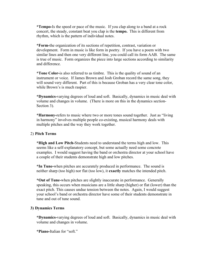**\*Tempo-**Is the speed or pace of the music. If you clap along to a band at a rock concert, the steady, constant beat you clap is the **tempo.** This is different from rhythm, which is the pattern of individual notes.

**\*Form-**the organization of its sections of repetition, contrast, variation or development. Form in music is like form in poetry. If you have a poem with two similar lines and then one very different line, you could call its form AAB. The same is true of music. Form organizes the piece into large sections according to similarity and difference.

**\*Tone Color-**is also referred to as timbre. This is the quality of sound of an instrument or voice. If James Brown and Josh Groban record the same song, they will sound very different. Part of this is because Groban has a very clear tone color, while Brown's is much raspier.

**\*Dynamics-**varying degrees of loud and soft. Basically, dynamics in music deal with volume and changes in volume. (There is more on this in the dynamics section-Section 3).

**\*Harmony-**refers to music where two or more tones sound together. Just as "living in harmony" involves multiple people co-existing, musical harmony deals with multiple pitches and the way they work together.

#### 2) **Pitch Terms**

**\*High and Low Pitch-**Students need to understand the terms high and low. This seems like a self-explanatory concept, but some actually need some concrete examples. I would suggest having the band or orchestra director at your school have a couple of their students demonstrate high and low pitches.

**\*In Tune-**when pitches are accurately produced in performance. The sound is neither sharp (too high) nor flat (too low), it **exactly** matches the intended pitch.

**\*Out of Tune-**when pitches are slightly inaccurate in performance. Generally speaking, this occurs when musicians are a little sharp (higher) or flat (lower) than the exact pitch. This causes undue tension between the notes. Again, I would suggest your school's band or orchestra director have some of their students demonstrate in tune and out of tune sound.

#### **3) Dynamics Terms**

**\*Dynamics-**varying degrees of loud and soft. Basically, dynamics in music deal with volume and changes in volume.

**\*Piano-**Italian for "soft."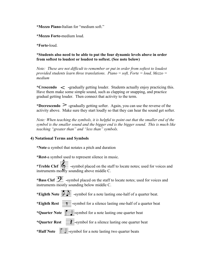**\*Mezzo Piano-**Italian for "medium soft."

**\*Mezzo Forte-**medium loud.

**\*Forte-**loud.

**\*Students also need to be able to put the four dynamic levels above in order from softest to loudest or loudest to softest. (See note below)**

*Note: These are not difficult to remember or put in order from softest to loudest provided students learn three translations. Piano = soft, Forte = loud, Mezzo = medium*

\*Crescendo < -gradually getting louder. Students actually enjoy practicing this. Have them make some simple sound, such as clapping or snapping, and practice gradual getting louder. Then connect that activity to the term.

\*Decrescendo  $\geq$  -gradually getting softer. Again, you can use the reverse of the activity above. Make sure they start loudly so that they can hear the sound get softer.

*Note: When teaching the symbols, it is helpful to point out that the smaller end of the symbol is the smaller sound and the bigger end is the bigger sound. This is much like teaching "greater than" and "less than" symbols.*

### **4) Notational Terms and Symbols**

**\*Note**-a symbol that notates a pitch and duration

**\*Rest-**a symbol used to represent silence in music.

\***Treble Clef**  $\overline{\text{Q}}$  -symbol placed on the staff to locate notes; used for voices and instruments mostly sounding above middle C.

\***Bass Clef**  $\overrightarrow{2}$  -symbol placed on the staff to locate notes; used for voices and instruments mostly sounding below middle C.

\***Eighth Note**  $\overrightarrow{P}$  -symbol for a note lasting one-half of a quarter beat.

\***Eighth Rest**  $\frac{24}{\sqrt{24}}$ -symbol for a silence lasting one-half of a quarter beat

\***Quarter Note**  $\frac{1}{\sqrt{2}}$ -symbol for a note lasting one quarter beat

\***Quarter Rest**  $\equiv \equiv$ -symbol for a silence lasting one quarter beat

\***Half Note**  $\overrightarrow{ }$  = -symbol for a note lasting two quarter beats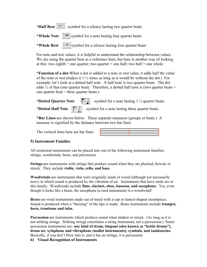\***Half Rest**  $\equiv$  -symbol for a silence lasting two quarter beats

\*Whole Note  $\frac{1}{\sqrt{2}}$  symbol for a note lasting four quarter beats

\*Whole Rest  $\frac{\overline{}}{\sqrt{}}$ symbol for a silence lasting four quarter beats

For note and rest values, it is helpful to understand the relationship between values. We are using the quarter beat as a reference here, but here is another way of looking at this: two eighth = one quarter; two quarter = one half; two half = one whole

**\*Function of a dot-**When a dot is added to a note or rest value, it adds half the value of the note or rest (makes it  $1\frac{1}{2}$  times as long as it would be without the dot.) For example, let's look at a dotted half note. A half note is two quarter beats. The dot adds  $\frac{1}{2}$  of that (one quarter beat). Therefore, a dotted half note is (two quarter beats + one quarter beat  $=$  three quarter beats.)

\***Dotted Quarter Note**  $\frac{1}{\sqrt{2}}$  -symbol for a note lasting 1 <sup>1</sup>/<sub>2</sub> quarter beats. \***Dotted Half Note**  $\frac{24}{\sqrt{12}}$  -symbol for a note lasting three quarter beats.

**\*Bar Lines-**are shown below. These separate measures (groups or beats.) A measure is signified by the distance between two bar lines.

The vertical lines here are bar lines



## **5) Instrument Families**

All orchestral instruments can be placed into one of the following instrument families: strings, woodwinds, brass, and percussion.

**Strings-**are instruments with strings that produce sound when they are plucked, bowed, or struck. They include **violin, viola, cello, and bass.**

**Woodwinds-**are instruments that were originally made of wood (although not necessarily now), in which sound is produced by the vibration of air. Instruments that have reeds are in this family. Woodwinds include **flute, clarinet, oboe, bassoon, and saxophone.** Yes, even though it looks like a brass, the saxophone (a reed instrument) is a woodwind!

**Brass**-are wind instruments made out of metal with a cup or funnel-shaped mouthpiece. Sound is produced when a "buzzing" of the lips is made. Brass instruments include **trumpet, horn, trombone and tuba.**

**Percussion-**are instruments which produce sound when shaken or struck. (As long as it is not striking strings. Striking strings constitutes a string instrument, not a percussion.) Some percussion instruments are: **any kind of drum, timpani (also known as "kettle drums"), drum set, xylophone and vibraphone (mallet instruments), cymbals, and tambourine.** Basically, if you don't blow into it, and it has no strings, it is percussion.

**6) Visual Recognition of Instruments**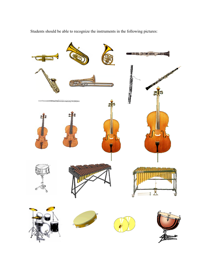

Students should be able to recognize the instruments in the following pictures: